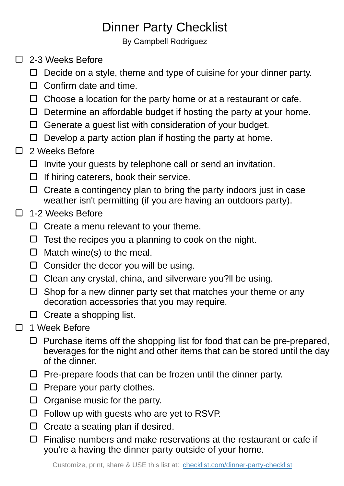## Dinner Party Checklist

By Campbell Rodriguez

- □ 2-3 Weeks Before
	- $\Box$  Decide on a style, theme and type of cuisine for your dinner party.
	- $\Box$  Confirm date and time.
	- $\Box$  Choose a location for the party home or at a restaurant or cafe.
	- $\Box$  Determine an affordable budget if hosting the party at your home.
	- $\Box$  Generate a guest list with consideration of your budget.
	- $\Box$  Develop a party action plan if hosting the party at home.
- 2 Weeks Before  $\Box$ 
	- $\Box$  Invite your guests by telephone call or send an invitation.
	- $\Box$  If hiring caterers, book their service.
	- $\Box$  Create a contingency plan to bring the party indoors just in case weather isn't permitting (if you are having an outdoors party).
- 1-2 Weeks Before  $\Box$ 
	- $\Box$  Create a menu relevant to your theme.
	- $\Box$  Test the recipes you a planning to cook on the night.
	- $\Box$  Match wine(s) to the meal.
	- $\Box$  Consider the decor you will be using.
	- $\Box$  Clean any crystal, china, and silverware you?II be using.
	- $\Box$  Shop for a new dinner party set that matches your theme or any decoration accessories that you may require.
	- $\square$  Create a shopping list.
- □ 1 Week Before
	- $\Box$  Purchase items off the shopping list for food that can be pre-prepared, beverages for the night and other items that can be stored until the day of the dinner.
	- $\Box$  Pre-prepare foods that can be frozen until the dinner party.
	- $\Box$  Prepare your party clothes.
	- $\Box$  Organise music for the party.
	- $\Box$  Follow up with guests who are yet to RSVP.
	- $\Box$  Create a seating plan if desired.
	- $\Box$  Finalise numbers and make reservations at the restaurant or cafe if you're a having the dinner party outside of your home.